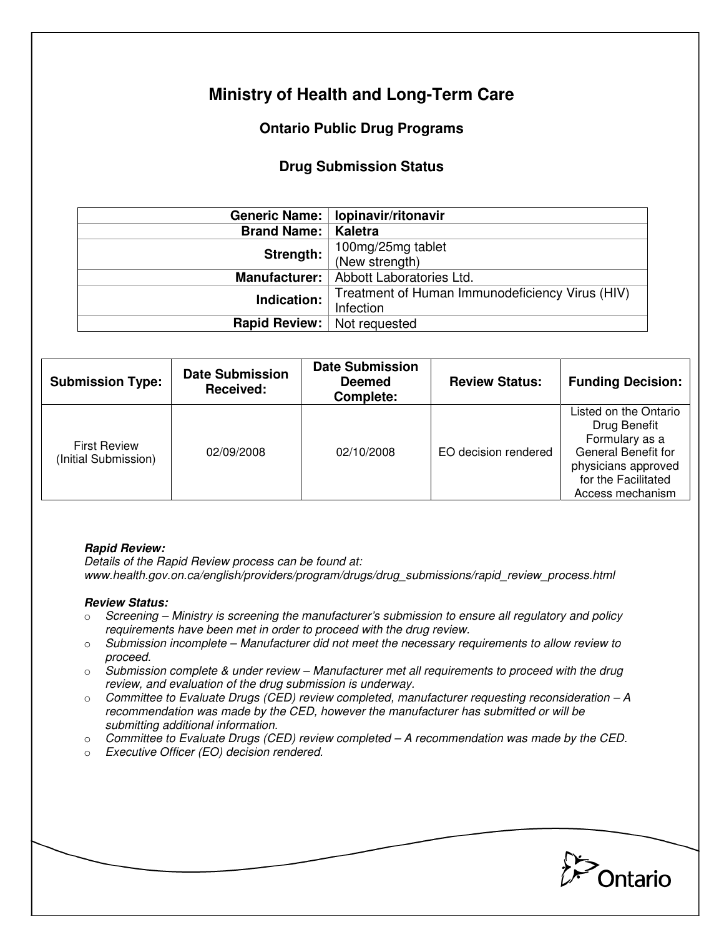# **Ministry of Health and Long-Term Care**

# **Ontario Public Drug Programs**

## **Drug Submission Status**

|                              | Generic Name:   lopinavir/ritonavir             |  |  |
|------------------------------|-------------------------------------------------|--|--|
| <b>Brand Name:   Kaletra</b> |                                                 |  |  |
| Strength:                    | 100mg/25mg tablet                               |  |  |
|                              | (New strength)                                  |  |  |
| Manufacturer:                | Abbott Laboratories Ltd.                        |  |  |
| Indication:                  | Treatment of Human Immunodeficiency Virus (HIV) |  |  |
|                              | Infection                                       |  |  |
| <b>Rapid Review:</b>         | Not requested                                   |  |  |

| <b>Submission Type:</b>                     | <b>Date Submission</b><br>Received: | <b>Date Submission</b><br><b>Deemed</b><br>Complete: | <b>Review Status:</b> | <b>Funding Decision:</b>                                                                                                                                |
|---------------------------------------------|-------------------------------------|------------------------------------------------------|-----------------------|---------------------------------------------------------------------------------------------------------------------------------------------------------|
| <b>First Review</b><br>(Initial Submission) | 02/09/2008                          | 02/10/2008                                           | EO decision rendered  | Listed on the Ontario<br>Drug Benefit<br>Formulary as a<br><b>General Benefit for</b><br>physicians approved<br>for the Facilitated<br>Access mechanism |

#### **Rapid Review:**

Details of the Rapid Review process can be found at: www.health.gov.on.ca/english/providers/program/drugs/drug\_submissions/rapid\_review\_process.html

### **Review Status:**

- $\circ$  Screening Ministry is screening the manufacturer's submission to ensure all regulatory and policy requirements have been met in order to proceed with the drug review.
- $\circ$  Submission incomplete Manufacturer did not meet the necessary requirements to allow review to proceed.
- $\circ$  Submission complete & under review Manufacturer met all requirements to proceed with the drug review, and evaluation of the drug submission is underway.
- $\circ$  Committee to Evaluate Drugs (CED) review completed, manufacturer requesting reconsideration A recommendation was made by the CED, however the manufacturer has submitted or will be submitting additional information.
- $\circ$  Committee to Evaluate Drugs (CED) review completed  $-A$  recommendation was made by the CED.
- o Executive Officer (EO) decision rendered.